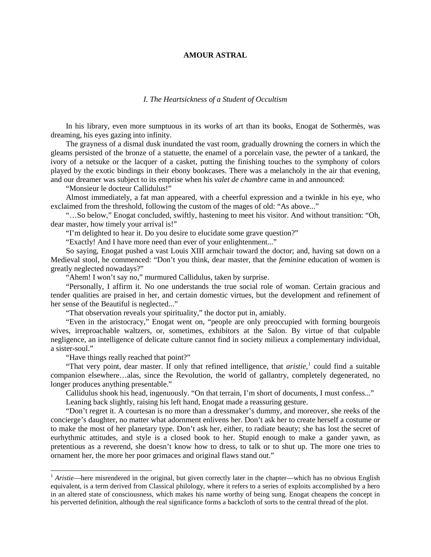## **AMOUR ASTRAL**

## *I. The Heartsickness of a Student of Occultism*

In his library, even more sumptuous in its works of art than its books, Enogat de Sothermès, was dreaming, his eyes gazing into infinity.

The grayness of a dismal dusk inundated the vast room, gradually drowning the corners in which the gleams persisted of the bronze of a statuette, the enamel of a porcelain vase, the pewter of a tankard, the ivory of a netsuke or the lacquer of a casket, putting the finishing touches to the symphony of colors played by the exotic bindings in their ebony bookcases. There was a melancholy in the air that evening, and our dreamer was subject to its emprise when his *valet de chambre* came in and announced:

"Monsieur le docteur Callidulus!"

Almost immediately, a fat man appeared, with a cheerful expression and a twinkle in his eye, who exclaimed from the threshold, following the custom of the mages of old: "As above..."

"…So below," Enogat concluded, swiftly, hastening to meet his visitor. And without transition: "Oh, dear master, how timely your arrival is!"

"I'm delighted to hear it. Do you desire to elucidate some grave question?"

"Exactly! And I have more need than ever of your enlightenment..."

So saying, Enogat pushed a vast Louis XIII armchair toward the doctor; and, having sat down on a Medieval stool, he commenced: "Don't you think, dear master, that the *feminine* education of women is greatly neglected nowadays?"

"Ahem! I won't say no," murmured Callidulus, taken by surprise.

"Personally, I affirm it. No one understands the true social role of woman. Certain gracious and tender qualities are praised in her, and certain domestic virtues, but the development and refinement of her sense of the Beautiful is neglected..."

"That observation reveals your spirituality," the doctor put in, amiably.

"Even in the aristocracy," Enogat went on, "people are only preoccupied with forming bourgeois wives, irreproachable waltzers, or, sometimes, exhibitors at the Salon. By virtue of that culpable negligence, an intelligence of delicate culture cannot find in society milieux a complementary individual, a sister-soul."

"Have things really reached that point?"

"That very point, dear master. If only that refined intelligence, that *aristie*,<sup>[1](#page-0-0)</sup> could find a suitable companion elsewhere…alas, since the Revolution, the world of gallantry, completely degenerated, no longer produces anything presentable."

Callidulus shook his head, ingenuously. "On that terrain, I'm short of documents, I must confess..." Leaning back slightly, raising his left hand, Enogat made a reassuring gesture.

"Don't regret it. A courtesan is no more than a dressmaker's dummy, and moreover, she reeks of the concierge's daughter, no matter what adornment enlivens her. Don't ask her to create herself a costume or to make the most of her planetary type. Don't ask her, either, to radiate beauty; she has lost the secret of eurhythmic attitudes, and style is a closed book to her. Stupid enough to make a gander yawn, as pretentious as a reverend, she doesn't know how to dress, to talk or to shut up. The more one tries to ornament her, the more her poor grimaces and original flaws stand out."

<span id="page-0-0"></span><sup>&</sup>lt;sup>1</sup> *Aristie*—here misrendered in the original, but given correctly later in the chapter—which has no obvious English equivalent, is a term derived from Classical philology, where it refers to a series of exploits accomplished by a hero in an altered state of consciousness, which makes his name worthy of being sung. Enogat cheapens the concept in his perverted definition, although the real significance forms a backcloth of sorts to the central thread of the plot.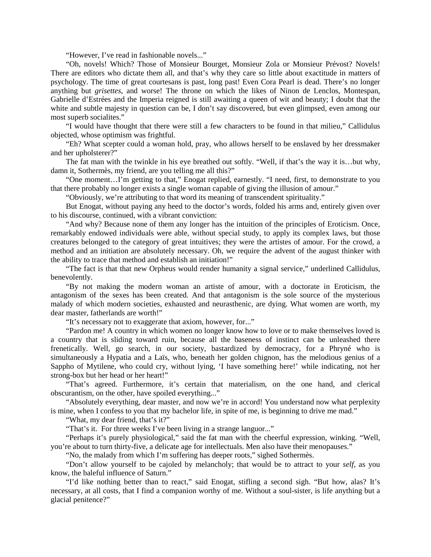"However, I've read in fashionable novels..."

"Oh, novels! Which? Those of Monsieur Bourget, Monsieur Zola or Monsieur Prévost? Novels! There are editors who dictate them all, and that's why they care so little about exactitude in matters of psychology. The time of great courtesans is past, long past! Even Cora Pearl is dead. There's no longer anything but *grisettes*, and worse! The throne on which the likes of Ninon de Lenclos, Montespan, Gabrielle d'Estrées and the Imperia reigned is still awaiting a queen of wit and beauty; I doubt that the white and subtle majesty in question can be, I don't say discovered, but even glimpsed, even among our most superb socialites."

"I would have thought that there were still a few characters to be found in that milieu," Callidulus objected, whose optimism was frightful.

"Eh? What scepter could a woman hold, pray, who allows herself to be enslaved by her dressmaker and her upholsterer?"

The fat man with the twinkle in his eye breathed out softly. "Well, if that's the way it is…but why, damn it, Sothermès, my friend, are you telling me all this?"

"One moment…I'm getting to that," Enogat replied, earnestly. "I need, first, to demonstrate to you that there probably no longer exists a single woman capable of giving the illusion of amour."

"Obviously, we're attributing to that word its meaning of transcendent spirituality."

But Enogat, without paying any heed to the doctor's words, folded his arms and, entirely given over to his discourse, continued, with a vibrant conviction:

"And why? Because none of them any longer has the intuition of the principles of Eroticism. Once, remarkably endowed individuals were able, without special study, to apply its complex laws, but those creatures belonged to the category of great intuitives; they were the artistes of amour. For the crowd, a method and an initiation are absolutely necessary. Oh, we require the advent of the august thinker with the ability to trace that method and establish an initiation!"

"The fact is that that new Orpheus would render humanity a signal service," underlined Callidulus, benevolently.

"By not making the modern woman an artiste of amour, with a doctorate in Eroticism, the antagonism of the sexes has been created. And that antagonism is the sole source of the mysterious malady of which modern societies, exhausted and neurasthenic, are dying. What women are worth, my dear master, fatherlands are worth!"

"It's necessary not to exaggerate that axiom, however, for..."

"Pardon me! A country in which women no longer know how to love or to make themselves loved is a country that is sliding toward ruin, because all the baseness of instinct can be unleashed there frenetically. Well, go search, in our society, bastardized by democracy, for a Phryné who is simultaneously a Hypatia and a Laïs, who, beneath her golden chignon, has the melodious genius of a Sappho of Mytilene, who could cry, without lying, 'I have something here!' while indicating, not her strong-box but her head or her heart!"

"That's agreed. Furthermore, it's certain that materialism, on the one hand, and clerical obscurantism, on the other, have spoiled everything..."

"Absolutely everything, dear master, and now we're in accord! You understand now what perplexity is mine, when I confess to you that my bachelor life, in spite of me, is beginning to drive me mad."

"What, my dear friend, that's it?"

"That's it. For three weeks I've been living in a strange languor..."

"Perhaps it's purely physiological," said the fat man with the cheerful expression, winking. "Well, you're about to turn thirty-five, a delicate age for intellectuals. Men also have their menopauses."

"No, the malady from which I'm suffering has deeper roots," sighed Sothermès.

"Don't allow yourself to be cajoled by melancholy; that would be to attract to your *self*, as you know, the baleful influence of Saturn."

"I'd like nothing better than to react," said Enogat, stifling a second sigh. "But how, alas? It's necessary, at all costs, that I find a companion worthy of me. Without a soul-sister, is life anything but a glacial penitence?"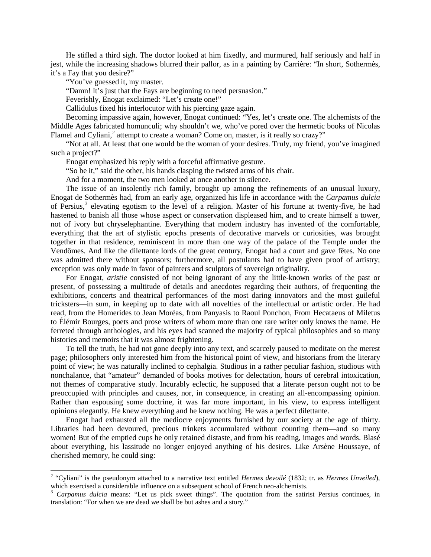He stifled a third sigh. The doctor looked at him fixedly, and murmured, half seriously and half in jest, while the increasing shadows blurred their pallor, as in a painting by Carrière: "In short, Sothermès, it's a Fay that you desire?"

"You've guessed it, my master.

"Damn! It's just that the Fays are beginning to need persuasion."

Feverishly, Enogat exclaimed: "Let's create one!"

Callidulus fixed his interlocutor with his piercing gaze again.

Becoming impassive again, however, Enogat continued: "Yes, let's create one. The alchemists of the Middle Ages fabricated homunculi; why shouldn't we, who've pored over the hermetic books of Nicolas Flamel and Cyliani,<sup>[2](#page-2-0)</sup> attempt to create a woman? Come on, master, is it really so crazy?"

"Not at all. At least that one would be the woman of your desires. Truly, my friend, you've imagined such a project?"

Enogat emphasized his reply with a forceful affirmative gesture.

"So be it," said the other, his hands clasping the twisted arms of his chair.

And for a moment, the two men looked at once another in silence.

The issue of an insolently rich family, brought up among the refinements of an unusual luxury, Enogat de Sothermès had, from an early age, organized his life in accordance with the *Carpamus dulcia* of Persius,<sup>[3](#page-2-1)</sup> elevating egotism to the level of a religion. Master of his fortune at twenty-five, he had hastened to banish all those whose aspect or conservation displeased him, and to create himself a tower, not of ivory but chryselephantine. Everything that modern industry has invented of the comfortable, everything that the art of stylistic epochs presents of decorative marvels or curiosities, was brought together in that residence, reminiscent in more than one way of the palace of the Temple under the Vendômes. And like the dilettante lords of the great century, Enogat had a court and gave fêtes. No one was admitted there without sponsors; furthermore, all postulants had to have given proof of artistry; exception was only made in favor of painters and sculptors of sovereign originality.

For Enogat, *aristie* consisted of not being ignorant of any the little-known works of the past or present, of possessing a multitude of details and anecdotes regarding their authors, of frequenting the exhibitions, concerts and theatrical performances of the most daring innovators and the most guileful tricksters—in sum, in keeping up to date with all novelties of the intellectual or artistic order. He had read, from the Homerides to Jean Moréas, from Panyasis to Raoul Ponchon, From Hecataeus of Miletus to Élémir Bourges, poets and prose writers of whom more than one rare writer only knows the name. He ferreted through anthologies, and his eyes had scanned the majority of typical philosophies and so many histories and memoirs that it was almost frightening.

To tell the truth, he had not gone deeply into any text, and scarcely paused to meditate on the merest page; philosophers only interested him from the historical point of view, and historians from the literary point of view; he was naturally inclined to cephalgia. Studious in a rather peculiar fashion, studious with nonchalance, that "amateur" demanded of books motives for delectation, hours of cerebral intoxication, not themes of comparative study. Incurably eclectic, he supposed that a literate person ought not to be preoccupied with principles and causes, nor, in consequence, in creating an all-encompassing opinion. Rather than espousing some doctrine, it was far more important, in his view, to express intelligent opinions elegantly. He knew everything and he knew nothing. He was a perfect dilettante.

Enogat had exhausted all the mediocre enjoyments furnished by our society at the age of thirty. Libraries had been devoured, precious trinkets accumulated without counting them—and so many women! But of the emptied cups he only retained distaste, and from his reading, images and words. Blasé about everything, his lassitude no longer enjoyed anything of his desires. Like Arsène Houssaye, of cherished memory, he could sing:

<span id="page-2-0"></span> <sup>2</sup> "Cyliani" is the pseudonym attached to a narrative text entitled *Hermes devoilé* (1832; tr. as *Hermes Unveiled*), which exercised a considerable influence on a subsequent school of French neo-alchemists.<br><sup>3</sup> *Carpamus dulcia* means: "Let us pick sweet things". The quotation from the satirist Persius continues, in

<span id="page-2-1"></span>translation: "For when we are dead we shall be but ashes and a story."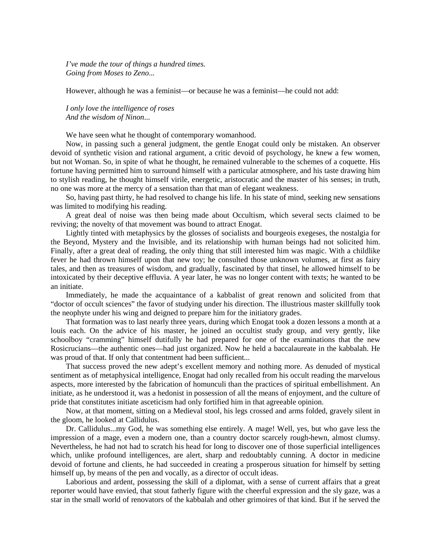*I've made the tour of things a hundred times. Going from Moses to Zeno*...

However, although he was a feminist—or because he was a feminist—he could not add:

*I only love the intelligence of roses And the wisdom of Ninon*...

We have seen what he thought of contemporary womanhood.

Now, in passing such a general judgment, the gentle Enogat could only be mistaken. An observer devoid of synthetic vision and rational argument, a critic devoid of psychology, he knew a few women, but not Woman. So, in spite of what he thought, he remained vulnerable to the schemes of a coquette. His fortune having permitted him to surround himself with a particular atmosphere, and his taste drawing him to stylish reading, he thought himself virile, energetic, aristocratic and the master of his senses; in truth, no one was more at the mercy of a sensation than that man of elegant weakness.

So, having past thirty, he had resolved to change his life. In his state of mind, seeking new sensations was limited to modifying his reading.

A great deal of noise was then being made about Occultism, which several sects claimed to be reviving; the novelty of that movement was bound to attract Enogat.

Lightly tinted with metaphysics by the glosses of socialists and bourgeois exegeses, the nostalgia for the Beyond, Mystery and the Invisible, and its relationship with human beings had not solicited him. Finally, after a great deal of reading, the only thing that still interested him was magic. With a childlike fever he had thrown himself upon that new toy; he consulted those unknown volumes, at first as fairy tales, and then as treasures of wisdom, and gradually, fascinated by that tinsel, he allowed himself to be intoxicated by their deceptive effluvia. A year later, he was no longer content with texts; he wanted to be an initiate.

Immediately, he made the acquaintance of a kabbalist of great renown and solicited from that "doctor of occult sciences" the favor of studying under his direction. The illustrious master skillfully took the neophyte under his wing and deigned to prepare him for the initiatory grades.

That formation was to last nearly three years, during which Enogat took a dozen lessons a month at a louis each. On the advice of his master, he joined an occultist study group, and very gently, like schoolboy "cramming" himself dutifully he had prepared for one of the examinations that the new Rosicrucians—the authentic ones—had just organized. Now he held a baccalaureate in the kabbalah. He was proud of that. If only that contentment had been sufficient...

That success proved the new adept's excellent memory and nothing more. As denuded of mystical sentiment as of metaphysical intelligence, Enogat had only recalled from his occult reading the marvelous aspects, more interested by the fabrication of homunculi than the practices of spiritual embellishment. An initiate, as he understood it, was a hedonist in possession of all the means of enjoyment, and the culture of pride that constitutes initiate asceticism had only fortified him in that agreeable opinion.

Now, at that moment, sitting on a Medieval stool, his legs crossed and arms folded, gravely silent in the gloom, he looked at Callidulus.

Dr. Callidulus...my God, he was something else entirely. A mage! Well, yes, but who gave less the impression of a mage, even a modern one, than a country doctor scarcely rough-hewn, almost clumsy. Nevertheless, he had not had to scratch his head for long to discover one of those superficial intelligences which, unlike profound intelligences, are alert, sharp and redoubtably cunning. A doctor in medicine devoid of fortune and clients, he had succeeded in creating a prosperous situation for himself by setting himself up, by means of the pen and vocally, as a director of occult ideas.

Laborious and ardent, possessing the skill of a diplomat, with a sense of current affairs that a great reporter would have envied, that stout fatherly figure with the cheerful expression and the sly gaze, was a star in the small world of renovators of the kabbalah and other grimoires of that kind. But if he served the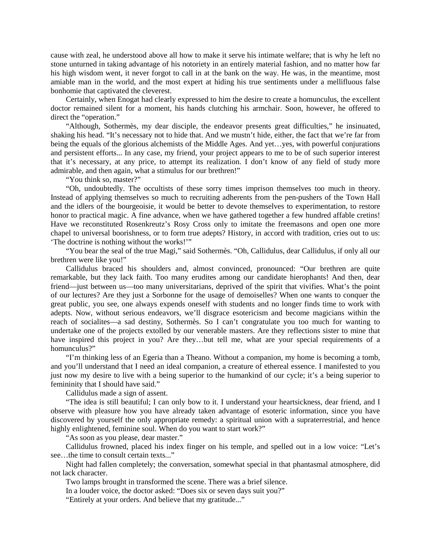cause with zeal, he understood above all how to make it serve his intimate welfare; that is why he left no stone unturned in taking advantage of his notoriety in an entirely material fashion, and no matter how far his high wisdom went, it never forgot to call in at the bank on the way. He was, in the meantime, most amiable man in the world, and the most expert at hiding his true sentiments under a mellifluous false bonhomie that captivated the cleverest.

Certainly, when Enogat had clearly expressed to him the desire to create a homunculus, the excellent doctor remained silent for a moment, his hands clutching his armchair. Soon, however, he offered to direct the "operation."

"Although, Sothermès, my dear disciple, the endeavor presents great difficulties," he insinuated, shaking his head. "It's necessary not to hide that. And we mustn't hide, either, the fact that we're far from being the equals of the glorious alchemists of the Middle Ages. And yet...yes, with powerful conjurations and persistent efforts... In any case, my friend, your project appears to me to be of such superior interest that it's necessary, at any price, to attempt its realization. I don't know of any field of study more admirable, and then again, what a stimulus for our brethren!"

"You think so, master?"

"Oh, undoubtedly. The occultists of these sorry times imprison themselves too much in theory. Instead of applying themselves so much to recruiting adherents from the pen-pushers of the Town Hall and the idlers of the bourgeoisie, it would be better to devote themselves to experimentation, to restore honor to practical magic. A fine advance, when we have gathered together a few hundred affable cretins! Have we reconstituted Rosenkreutz's Rosy Cross only to imitate the freemasons and open one more chapel to universal boorishness, or to form true adepts? History, in accord with tradition, cries out to us: 'The doctrine is nothing without the works!'"

"You bear the seal of the true Magi," said Sothermès. "Oh, Callidulus, dear Callidulus, if only all our brethren were like you!"

Callidulus braced his shoulders and, almost convinced, pronounced: "Our brethren are quite remarkable, but they lack faith. Too many erudites among our candidate hierophants! And then, dear friend—just between us—too many universitarians, deprived of the spirit that vivifies. What's the point of our lectures? Are they just a Sorbonne for the usage of demoiselles? When one wants to conquer the great public, you see, one always expends oneself with students and no longer finds time to work with adepts. Now, without serious endeavors, we'll disgrace esotericism and become magicians within the reach of socialites—a sad destiny, Sothermès. So I can't congratulate you too much for wanting to undertake one of the projects extolled by our venerable masters. Are they reflections sister to mine that have inspired this project in you? Are they...but tell me, what are your special requirements of a homunculus?"

"I'm thinking less of an Egeria than a Theano. Without a companion, my home is becoming a tomb, and you'll understand that I need an ideal companion, a creature of ethereal essence. I manifested to you just now my desire to live with a being superior to the humankind of our cycle; it's a being superior to femininity that I should have said."

Callidulus made a sign of assent.

"The idea is still beautiful; I can only bow to it. I understand your heartsickness, dear friend, and I observe with pleasure how you have already taken advantage of esoteric information, since you have discovered by yourself the only appropriate remedy: a spiritual union with a supraterrestrial, and hence highly enlightened, feminine soul. When do you want to start work?"

"As soon as you please, dear master."

Callidulus frowned, placed his index finger on his temple, and spelled out in a low voice: "Let's see…the time to consult certain texts..."

Night had fallen completely; the conversation, somewhat special in that phantasmal atmosphere, did not lack character.

Two lamps brought in transformed the scene. There was a brief silence.

In a louder voice, the doctor asked: "Does six or seven days suit you?"

"Entirely at your orders. And believe that my gratitude..."